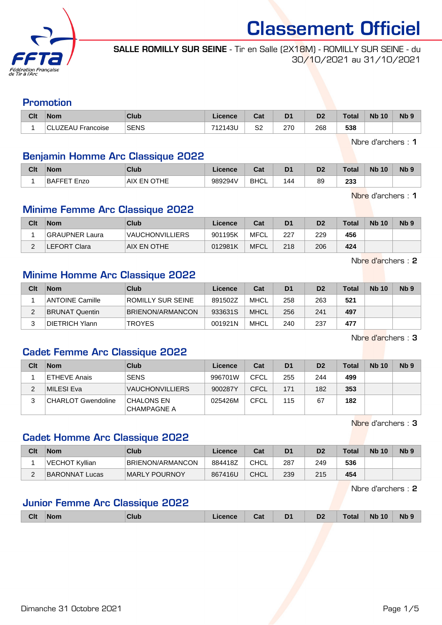

SALLE ROMILLY SUR SEINE - Tir en Salle (2X18M) - ROMILLY SUR SEINE - du 30/10/2021 au 31/10/2021

#### Promotion

| Clt | <b>Nom</b>               | Club        | Licence | $R - R$<br>val           | D <sub>1</sub>                             | n.<br>υZ   | <b>Total</b> | <b>Nb</b><br>10 | N <sub>b</sub> 9 |
|-----|--------------------------|-------------|---------|--------------------------|--------------------------------------------|------------|--------------|-----------------|------------------|
|     | <b>CLUZEAU Francoise</b> | <b>SENS</b> | 712143U | S <sub>2</sub><br>$\sim$ | 270<br>the contract of the contract of the | 268<br>- - | 538          |                 |                  |

Nbre d'archers : 1

### Benjamin Homme Arc Classique 2022

| Clt | <b>Nom</b>  | Club                  | Licence | ີ່<br>uai   | D <sub>1</sub> | r.<br>υz | 'otal      | <b>Nb 10</b> | N <sub>b</sub> <sub>9</sub> |
|-----|-------------|-----------------------|---------|-------------|----------------|----------|------------|--------------|-----------------------------|
|     | BAFFET Enzo | EN OTHE<br><b>AIX</b> | 989294V | <b>BHCL</b> | 144            | 89       | つつつ<br>233 |              |                             |

Nbre d'archers : 1

### Minime Femme Arc Classique 2022

| Clt | <b>Nom</b>            | Club                   | Licence | Cat         | D <sub>1</sub> | D <sub>2</sub> | <b>Total</b> | <b>Nb 10</b> | N <sub>b</sub> <sub>9</sub> |
|-----|-----------------------|------------------------|---------|-------------|----------------|----------------|--------------|--------------|-----------------------------|
|     | <b>GRAUPNER Laura</b> | <b>VAUCHONVILLIERS</b> | 901195K | MFCL        | 227            | 229            | 456          |              |                             |
|     | <b>LEFORT Clara</b>   | AIX EN OTHE            | 012981K | <b>MFCL</b> | 218            | 206            | 424          |              |                             |

Nbre d'archers : 2

### Minime Homme Arc Classique 2022

| Clt | <b>Nom</b>             | Club              | Licence | Cat         | D <sub>1</sub> | D <sub>2</sub> | Total | <b>Nb 10</b> | N <sub>b</sub> <sub>9</sub> |
|-----|------------------------|-------------------|---------|-------------|----------------|----------------|-------|--------------|-----------------------------|
|     | <b>ANTOINE Camille</b> | ROMILLY SUR SEINE | 891502Z | MHCL        | 258            | 263            | 521   |              |                             |
|     | <b>BRUNAT Quentin</b>  | BRIENON/ARMANCON  | 933631S | <b>MHCL</b> | 256            | 241            | 497   |              |                             |
|     | DIETRICH Ylann         | <b>TROYES</b>     | 001921N | <b>MHCL</b> | 240            | 237            | 477   |              |                             |

Nbre d'archers : 3

### Cadet Femme Arc Classique 2022

| Clt | <b>Nom</b>                | Club                                    | Licence | Cat         | D <sub>1</sub> | D <sub>2</sub> | <b>Total</b> | <b>Nb 10</b> | Nb <sub>9</sub> |
|-----|---------------------------|-----------------------------------------|---------|-------------|----------------|----------------|--------------|--------------|-----------------|
|     | <b>ETHEVE Anais</b>       | <b>SENS</b>                             | 996701W | CFCL        | 255            | 244            | 499          |              |                 |
| ົ   | MILESI Eva                | <b>VAUCHONVILLIERS</b>                  | 900287Y | <b>CFCL</b> | 171            | 182            | 353          |              |                 |
|     | <b>CHARLOT Gwendoline</b> | <b>CHALONS EN</b><br><b>CHAMPAGNE A</b> | 025426M | CFCL        | 115            | 67             | 182          |              |                 |

Nbre d'archers : 3

### Cadet Homme Arc Classique 2022

| Clt | <b>Nom</b>     | Club             | Licence | Cat         | D <sub>1</sub> | D <sub>2</sub> | Total | <b>Nb 10</b> | N <sub>b</sub> 9 |
|-----|----------------|------------------|---------|-------------|----------------|----------------|-------|--------------|------------------|
|     | VECHOT Kyllian | BRIENON/ARMANCON | 884418Z | <b>CHCL</b> | 287            | 249            | 536   |              |                  |
|     | BARONNAT Lucas | MARLY POURNOY    | 867416U | <b>CHCL</b> | 239            | 215            | 454   |              |                  |

Nbre d'archers : 2

## Junior Femme Arc Classique 2022

|  | Clt | ∣Nom | <b>Club</b> | ∟icence | Cat | D <sub>1</sub> | D <sub>2</sub> | <b>Total</b> | <b>Nb 10</b> | Nb <sub>9</sub> |
|--|-----|------|-------------|---------|-----|----------------|----------------|--------------|--------------|-----------------|
|--|-----|------|-------------|---------|-----|----------------|----------------|--------------|--------------|-----------------|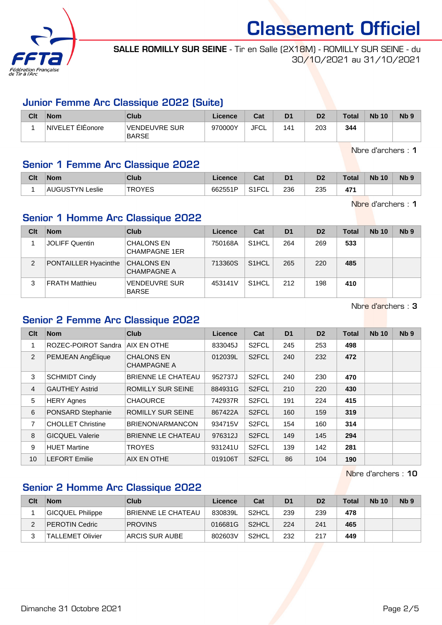

SALLE ROMILLY SUR SEINE - Tir en Salle (2X18M) - ROMILLY SUR SEINE - du 30/10/2021 au 31/10/2021

#### Junior Femme Arc Classique 2022 (Suite)

| Clt | <b>Nom</b>                 | Club                          | Licence | Cat         | D <sub>1</sub> | D <sub>2</sub> | Total | <b>Nb 10</b> | N <sub>b</sub> <sub>9</sub> |
|-----|----------------------------|-------------------------------|---------|-------------|----------------|----------------|-------|--------------|-----------------------------|
|     | ElEonore<br><b>NIVELET</b> | VENDEUVRE SUR<br><b>BARSE</b> | 970000Y | <b>JFCL</b> | 41             | 203            | 344   |              |                             |

Nbre d'archers : 1

# Senior 1 Femme Arc Classique 2022

| Clt | <b>Nom</b>          | Club          | Licence | ີ້<br>⊍⊿              | D <sub>1</sub> | n <sub>o</sub> | Total     | <b>Nb 10</b> | N <sub>b</sub> <sub>9</sub> |
|-----|---------------------|---------------|---------|-----------------------|----------------|----------------|-----------|--------------|-----------------------------|
|     | _eslie<br>'AUGUSTYN | <b>TDOVES</b> | 662551P | SIECL.<br>◡∟<br>ا ا ت | 236            | 235            | 17/<br>47 |              |                             |

Nbre d'archers : 1

# Senior 1 Homme Arc Classique 2022

| Clt | <b>Nom</b>                  | Club                                      | Licence | Cat                | D <sub>1</sub> | D <sub>2</sub> | Total | <b>Nb 10</b> | Nb <sub>9</sub> |
|-----|-----------------------------|-------------------------------------------|---------|--------------------|----------------|----------------|-------|--------------|-----------------|
|     | <b>JOLIFF Quentin</b>       | <b>CHALONS EN</b><br><b>CHAMPAGNE 1ER</b> | 750168A | S <sub>1</sub> HCL | 264            | 269            | 533   |              |                 |
| 2   | <b>PONTAILLER Hyacinthe</b> | <b>CHALONS EN</b><br><b>CHAMPAGNE A</b>   | 713360S | S <sub>1</sub> HCL | 265            | 220            | 485   |              |                 |
| 3   | <b>FRATH Matthieu</b>       | <b>VENDEUVRE SUR</b><br><b>BARSE</b>      | 453141V | S <sub>1</sub> HCL | 212            | 198            | 410   |              |                 |

Nbre d'archers : 3

## Senior 2 Femme Arc Classique 2022

| Clt            | <b>Nom</b>               | <b>Club</b>                             | <b>Licence</b> | Cat                | D <sub>1</sub> | D <sub>2</sub> | <b>Total</b> | <b>Nb 10</b> | Nb <sub>9</sub> |
|----------------|--------------------------|-----------------------------------------|----------------|--------------------|----------------|----------------|--------------|--------------|-----------------|
|                | ROZEC-POIROT Sandra      | AIX EN OTHE                             | 833045J        | S <sub>2</sub> FCL | 245            | 253            | 498          |              |                 |
| $\overline{2}$ | PEMJEAN AngÉlique        | <b>CHALONS EN</b><br><b>CHAMPAGNE A</b> | 012039L        | S <sub>2</sub> FCL | 240            | 232            | 472          |              |                 |
| 3              | <b>SCHMIDT Cindy</b>     | <b>BRIENNE LE CHATEAU</b>               | 952737J        | S <sub>2</sub> FCL | 240            | 230            | 470          |              |                 |
| 4              | <b>GAUTHEY Astrid</b>    | <b>ROMILLY SUR SEINE</b>                | 884931G        | S <sub>2</sub> FCL | 210            | 220            | 430          |              |                 |
| 5              | <b>HERY Agnes</b>        | <b>CHAOURCE</b>                         | 742937R        | S <sub>2</sub> FCL | 191            | 224            | 415          |              |                 |
| 6              | PONSARD Stephanie        | ROMILLY SUR SEINE                       | 867422A        | S <sub>2</sub> FCL | 160            | 159            | 319          |              |                 |
| 7              | <b>CHOLLET Christine</b> | BRIENON/ARMANCON                        | 934715V        | S <sub>2</sub> FCL | 154            | 160            | 314          |              |                 |
| 8              | <b>GICQUEL Valerie</b>   | BRIENNE LE CHATEAU                      | 976312J        | S <sub>2</sub> FCL | 149            | 145            | 294          |              |                 |
| 9              | <b>HUET Martine</b>      | <b>TROYES</b>                           | 931241U        | S <sub>2</sub> FCL | 139            | 142            | 281          |              |                 |
| 10             | LEFORT Emilie            | AIX EN OTHE                             | 019106T        | S <sub>2</sub> FCL | 86             | 104            | 190          |              |                 |

Nbre d'archers : 10

# Senior 2 Homme Arc Classique 2022

| Clt | <b>Nom</b>              | <b>Club</b>           | Licence | Cat                | D <sub>1</sub> | D <sub>2</sub> | <b>Total</b> | <b>Nb 10</b> | N <sub>b</sub> <sub>9</sub> |
|-----|-------------------------|-----------------------|---------|--------------------|----------------|----------------|--------------|--------------|-----------------------------|
|     | GICQUEL Philippe        | BRIENNE LE CHATEAU    | 830839L | S <sub>2</sub> HCL | 239            | 239            | 478          |              |                             |
|     | PEROTIN Cedric          | <b>PROVINS</b>        | 016681G | S <sub>2</sub> HCL | 224            | 241            | 465          |              |                             |
|     | <b>TALLEMET Olivier</b> | <b>ARCIS SUR AUBE</b> | 802603V | S <sub>2</sub> HCL | 232            | 217            | 449          |              |                             |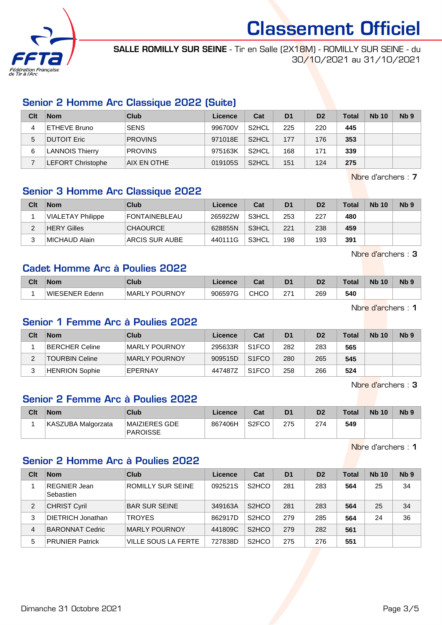

SALLE ROMILLY SUR SEINE - Tir en Salle (2X18M) - ROMILLY SUR SEINE - du 30/10/2021 au 31/10/2021

# Senior 2 Homme Arc Classique 2022 (Suite)

| Clt | <b>Nom</b>               | Club           | Licence | Cat                | D <sub>1</sub> | D <sub>2</sub> | <b>Total</b> | <b>Nb 10</b> | Nb <sub>9</sub> |
|-----|--------------------------|----------------|---------|--------------------|----------------|----------------|--------------|--------------|-----------------|
|     | ETHEVE Bruno             | <b>SENS</b>    | 996700V | S <sub>2</sub> HCL | 225            | 220            | 445          |              |                 |
| 5   | <b>DUTOIT Eric</b>       | <b>PROVINS</b> | 971018E | S <sub>2</sub> HCL | 177            | 176            | 353          |              |                 |
| 6   | <b>LANNOIS Thierry</b>   | <b>PROVINS</b> | 975163K | S <sub>2</sub> HCL | 168            | 171            | 339          |              |                 |
|     | <b>LEFORT Christophe</b> | AIX EN OTHE    | 019105S | S <sub>2</sub> HCL | 151            | 124            | 275          |              |                 |

Nbre d'archers : 7

# Senior 3 Homme Arc Classique 2022

| Clt | <b>Nom</b>               | Club                 | Licence | Cat   | D <sub>1</sub> | D <sub>2</sub> | <b>Total</b> | <b>Nb 10</b> | Nb <sub>9</sub> |
|-----|--------------------------|----------------------|---------|-------|----------------|----------------|--------------|--------------|-----------------|
|     | <b>VIALETAY Philippe</b> | <b>FONTAINEBLEAU</b> | 265922W | S3HCL | 253            | 227            | 480          |              |                 |
| ົ   | <b>HERY Gilles</b>       | <b>CHAOURCE</b>      | 628855N | S3HCL | 221            | 238            | 459          |              |                 |
| 2   | MICHAUD Alain            | ARCIS SUR AUBE       | 440111G | S3HCL | 198            | 193            | 391          |              |                 |

Nbre d'archers : 3

### Cadet Homme Arc à Poulies 2022

| Clt | Nom                          | Club                                      | Licence | ◠ឹ៶<br>ual | D1                | D2  | Total | <b>Nb</b><br>10 | N <sub>b</sub> <sub>9</sub> |
|-----|------------------------------|-------------------------------------------|---------|------------|-------------------|-----|-------|-----------------|-----------------------------|
|     | <b>WIESENER Ede</b><br>Edenn | ' POURNOY<br><b>MARL</b><br>$\mathcal{L}$ | 906597G | CHCO       | 271<br>$\epsilon$ | 269 | 540   |                 |                             |

Nbre d'archers : 1

#### Senior 1 Femme Arc à Poulies 2022

| Clt | <b>Nom</b>            | Club           | Licence | Cat                | D <sub>1</sub> | D <sub>2</sub> | Total | <b>Nb 10</b> | Nb <sub>9</sub> |
|-----|-----------------------|----------------|---------|--------------------|----------------|----------------|-------|--------------|-----------------|
|     | BERCHER Celine        | MARLY POURNOY  | 295633R | S <sub>1</sub> FCO | 282            | 283            | 565   |              |                 |
|     | <b>TOURBIN Celine</b> | MARLY POURNOY  | 909515D | S <sub>1</sub> FCO | 280            | 265            | 545   |              |                 |
| J   | <b>HENRION Sophie</b> | <b>EPERNAY</b> | 447487Z | S <sub>1</sub> FCO | 258            | 266            | 524   |              |                 |

Nbre d'archers : 3

## Senior 2 Femme Arc à Poulies 2022

| Clt | Nom                | Club                             | Licence | Cat                | D1  | D <sub>2</sub> | Total | <b>Nb 10</b> | N <sub>b</sub> <sub>9</sub> |
|-----|--------------------|----------------------------------|---------|--------------------|-----|----------------|-------|--------------|-----------------------------|
|     | KASZUBA Malgorzata | MAIZIERES GDE<br><b>PAROISSE</b> | 867406H | S <sub>2</sub> FCO | 275 | 274            | 549   |              |                             |

Nbre d'archers : 1

# Senior 2 Homme Arc à Poulies 2022

| Clt | <b>Nom</b>                       | Club                       | Licence | Cat                             | D <sub>1</sub> | D <sub>2</sub> | Total | <b>Nb 10</b> | Nb <sub>9</sub> |
|-----|----------------------------------|----------------------------|---------|---------------------------------|----------------|----------------|-------|--------------|-----------------|
|     | <b>REGNIER Jean</b><br>Sebastien | <b>ROMILLY SUR SEINE</b>   | 092521S | S <sub>2</sub> HCO              | 281            | 283            | 564   | 25           | 34              |
| 2   | <b>CHRIST Cyril</b>              | <b>BAR SUR SEINE</b>       | 349163A | S <sub>2</sub> H <sub>C</sub> O | 281            | 283            | 564   | 25           | 34              |
| 3   | <b>DIETRICH Jonathan</b>         | <b>TROYES</b>              | 862917D | S <sub>2</sub> H <sub>CO</sub>  | 279            | 285            | 564   | 24           | 36              |
| 4   | <b>BARONNAT Cedric</b>           | <b>MARLY POURNOY</b>       | 441809C | S <sub>2</sub> H <sub>CO</sub>  | 279            | 282            | 561   |              |                 |
| 5   | <b>PRUNIER Patrick</b>           | <b>VILLE SOUS LA FERTE</b> | 727838D | S <sub>2</sub> HCO              | 275            | 276            | 551   |              |                 |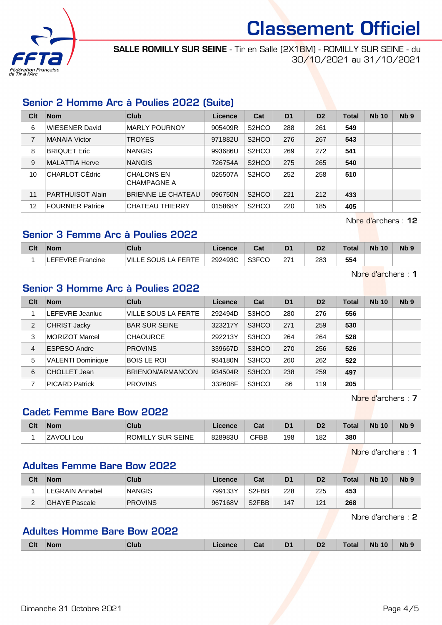

SALLE ROMILLY SUR SEINE - Tir en Salle (2X18M) - ROMILLY SUR SEINE - du 30/10/2021 au 31/10/2021

# Senior 2 Homme Arc à Poulies 2022 (Suite)

| Clt | <b>Nom</b>              | Club                                    | Licence | Cat                | D <sub>1</sub> | D <sub>2</sub> | Total | <b>Nb 10</b> | Nb <sub>9</sub> |
|-----|-------------------------|-----------------------------------------|---------|--------------------|----------------|----------------|-------|--------------|-----------------|
| 6   | <b>WIESENER David</b>   | <b>MARLY POURNOY</b>                    | 905409R | S <sub>2</sub> HCO | 288            | 261            | 549   |              |                 |
| 7   | <b>MANAIA Victor</b>    | <b>TROYES</b>                           | 971882U | S <sub>2</sub> HCO | 276            | 267            | 543   |              |                 |
| 8   | <b>BRIQUET Eric</b>     | <b>NANGIS</b>                           | 993686U | S <sub>2</sub> HCO | 269            | 272            | 541   |              |                 |
| 9   | <b>MALATTIA Herve</b>   | <b>NANGIS</b>                           | 726754A | S <sub>2</sub> HCO | 275            | 265            | 540   |              |                 |
| 10  | CHARLOT CÉdric          | <b>CHALONS EN</b><br><b>CHAMPAGNE A</b> | 025507A | S <sub>2</sub> HCO | 252            | 258            | 510   |              |                 |
| 11  | <b>PARTHUISOT Alain</b> | <b>BRIENNE LE CHATEAU</b>               | 096750N | S <sub>2</sub> HCO | 221            | 212            | 433   |              |                 |
| 12  | <b>FOURNIER Patrice</b> | CHATEAU THIERRY                         | 015868Y | S <sub>2</sub> HCO | 220            | 185            | 405   |              |                 |

Nbre d'archers : 12

### Senior 3 Femme Arc à Poulies 2022

| Clt | Nom              | Club                | ∟icence | $R_{\rm{min}}$<br>⊍aι | D <sub>1</sub> | D <sub>2</sub> | Total | <b>Nb 10</b> | N <sub>b</sub> 9 |
|-----|------------------|---------------------|---------|-----------------------|----------------|----------------|-------|--------------|------------------|
|     | _EFEVRE Francine | VILLE SOUS LA FERTE | 292493C | S3FCO                 | 271            | 283            | 554   |              |                  |

Nbre d'archers : 1

#### Senior 3 Homme Arc à Poulies 2022

| Clt            | <b>Nom</b>               | Club                       | Licence | Cat   | D <sub>1</sub> | D <sub>2</sub> | Total | <b>Nb 10</b> | Nb <sub>9</sub> |
|----------------|--------------------------|----------------------------|---------|-------|----------------|----------------|-------|--------------|-----------------|
|                | LEFEVRE Jeanluc          | <b>VILLE SOUS LA FERTE</b> | 292494D | S3HCO | 280            | 276            | 556   |              |                 |
| 2              | <b>CHRIST Jacky</b>      | <b>BAR SUR SEINE</b>       | 323217Y | S3HCO | 271            | 259            | 530   |              |                 |
| 3              | <b>MORIZOT Marcel</b>    | <b>CHAOURCE</b>            | 292213Y | S3HCO | 264            | 264            | 528   |              |                 |
| $\overline{4}$ | <b>ESPESO Andre</b>      | <b>PROVINS</b>             | 339667D | S3HCO | 270            | 256            | 526   |              |                 |
| 5              | <b>VALENTI Dominique</b> | <b>BOIS LE ROI</b>         | 934180N | S3HCO | 260            | 262            | 522   |              |                 |
| 6              | CHOLLET Jean             | BRIENON/ARMANCON           | 934504R | S3HCO | 238            | 259            | 497   |              |                 |
|                | <b>PICARD Patrick</b>    | <b>PROVINS</b>             | 332608F | S3HCO | 86             | 119            | 205   |              |                 |

Nbre d'archers : 7

# Cadet Femme Bare Bow 2022

| Clt | <b>Nom</b>          | Club                                            | Licence | <b>Take</b><br>ual | D <sub>1</sub> | D <sub>2</sub> | Total | <b>Nb</b><br>10 | N <sub>b</sub> <sub>9</sub> |
|-----|---------------------|-------------------------------------------------|---------|--------------------|----------------|----------------|-------|-----------------|-----------------------------|
|     | <b>ZAVOL</b><br>∟ou | <b>ROMIL</b><br><b>SEINE</b><br><b>SUR</b><br>v | 828983L | <b>CFBB</b><br>ا ب | 198            | 182            | 380   |                 |                             |

Nbre d'archers : 1

#### Adultes Femme Bare Bow 2022

| Clt      | <b>Nom</b>      | Club           | Licence | Cat                | D <sub>1</sub> | D <sub>2</sub> | Total | <b>Nb 10</b> | N <sub>b</sub> <sub>9</sub> |
|----------|-----------------|----------------|---------|--------------------|----------------|----------------|-------|--------------|-----------------------------|
|          | ∟EGRAIN Annabel | <b>NANGIS</b>  | 799133Y | S <sub>2</sub> FBB | 228            | 225            | 453   |              |                             |
| <u>_</u> | GHAYE Pascale   | <b>PROVINS</b> | 967168V | S <sub>2</sub> FBB | 147            | 121            | 268   |              |                             |

Nbre d'archers : 2

#### Adultes Homme Bare Bow 2022

|  | <b>Clt</b> | <b>Nom</b> | Club | icence | . .<br>ud | D <sub>1</sub><br>- | D <sub>2</sub> | Total | <b>Nb 10</b> | <b>Nb</b> |
|--|------------|------------|------|--------|-----------|---------------------|----------------|-------|--------------|-----------|
|--|------------|------------|------|--------|-----------|---------------------|----------------|-------|--------------|-----------|